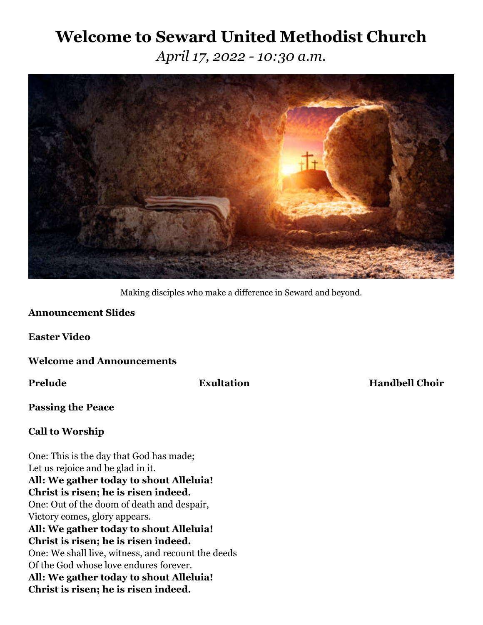# **Welcome to Seward United Methodist Church**

*April 17, 2022 - 10:30 a.m.*



Making disciples who make a difference in Seward and beyond.

**Announcement Slides**

**Easter Video**

**Welcome and Announcements**

**Prelude Exultation Handbell Choir**

**Passing the Peace**

**Call to Worship**

One: This is the day that God has made; Let us rejoice and be glad in it. **All: We gather today to shout Alleluia! Christ is risen; he is risen indeed.** One: Out of the doom of death and despair, Victory comes, glory appears. **All: We gather today to shout Alleluia! Christ is risen; he is risen indeed.** One: We shall live, witness, and recount the deeds Of the God whose love endures forever. **All: We gather today to shout Alleluia! Christ is risen; he is risen indeed.**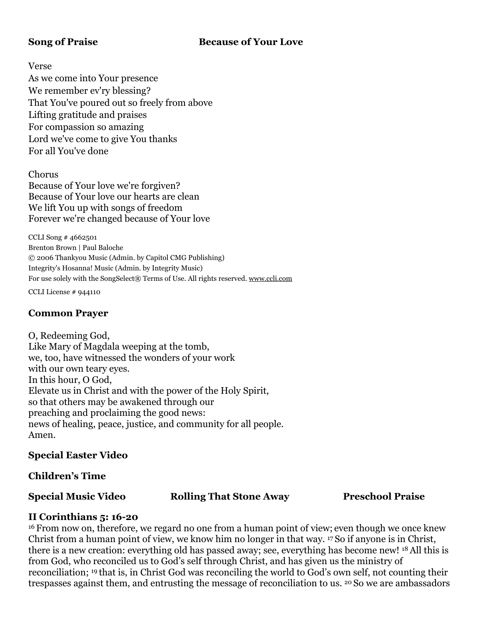### **Song of Praise Because of Your Love**

Verse As we come into Your presence We remember ev'ry blessing? That You've poured out so freely from above Lifting gratitude and praises For compassion so amazing Lord we've come to give You thanks For all You've done

Chorus Because of Your love we're forgiven? Because of Your love our hearts are clean We lift You up with songs of freedom Forever we're changed because of Your love

CCLI Song # 4662501 Brenton Brown | Paul Baloche © 2006 Thankyou Music (Admin. by Capitol CMG Publishing) Integrity's Hosanna! Music (Admin. by Integrity Music) For use solely with the SongSelect® Terms of Use. All rights reserved. [www.ccli.com](http://www.ccli.com)

CCLI License # 944110

### **Common Prayer**

O, Redeeming God, Like Mary of Magdala weeping at the tomb, we, too, have witnessed the wonders of your work with our own teary eyes. In this hour, O God, Elevate us in Christ and with the power of the Holy Spirit, so that others may be awakened through our preaching and proclaiming the good news: news of healing, peace, justice, and community for all people. Amen.

# **Special Easter Video**

### **Children's Time**

#### **Special Music Video Rolling That Stone Away Preschool Praise**

# **II Corinthians 5: 16-20**

<sup>16</sup> From now on, therefore, we regard no one from a human point of view; even though we once knew Christ from a human point of view, we know him no longer in that way. 17 So if anyone is in Christ, there is a new creation: everything old has passed away; see, everything has become new! 18All this is from God, who reconciled us to God's self through Christ, and has given us the ministry of reconciliation; 19 that is, in Christ God was reconciling the world to God's own self, not counting their trespasses against them, and entrusting the message of reconciliation to us. 20 So we are ambassadors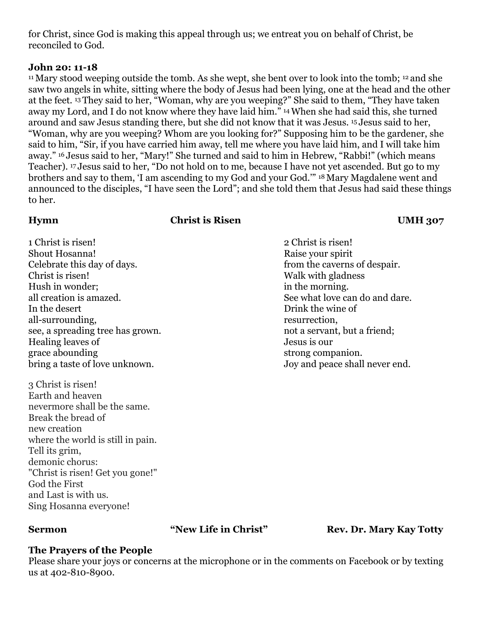for Christ, since God is making this appeal through us; we entreat you on behalf of Christ, be reconciled to God.

### **John 20: 11-18**

<sup>11</sup> Mary stood weeping outside the tomb. As she wept, she bent over to look into the tomb; <sup>12</sup> and she saw two angels in white, sitting where the body of Jesus had been lying, one at the head and the other at the feet. 13 They said to her, "Woman, why are you weeping?" She said to them, "They have taken away my Lord, and I do not know where they have laid him." 14When she had said this, she turned around and saw Jesus standing there, but she did not know that it was Jesus. 15 Jesus said to her, "Woman, why are you weeping? Whom are you looking for?" Supposing him to be the gardener, she said to him, "Sir, if you have carried him away, tell me where you have laid him, and I will take him away." 16 Jesus said to her, "Mary!" She turned and said to him in Hebrew, "Rabbi!" (which means Teacher). 17 Jesus said to her, "Do not hold on to me, because I have not yet ascended. But go to my brothers and say to them, 'I am ascending to my God and your God.'" 18 Mary Magdalene went and announced to the disciples, "I have seen the Lord"; and she told them that Jesus had said these things to her.

# **Hymn** Christ is Risen **UMH** 307

| 1 Christ is risen!               | 2 Christ is risen!             |  |
|----------------------------------|--------------------------------|--|
| Shout Hosanna!                   | Raise your spirit              |  |
| Celebrate this day of days.      | from the caverns of despair.   |  |
| Christ is risen!                 | Walk with gladness             |  |
| Hush in wonder;                  | in the morning.                |  |
| all creation is amazed.          | See what love can do and dare. |  |
| In the desert                    | Drink the wine of              |  |
| all-surrounding,                 | resurrection,                  |  |
| see, a spreading tree has grown. | not a servant, but a friend;   |  |
| Healing leaves of                | Jesus is our                   |  |
| grace abounding                  | strong companion.              |  |
| bring a taste of love unknown.   | Joy and peace shall never end. |  |
| 3 Christ is risen!               |                                |  |
| Earth and heaven                 |                                |  |

**Sermon "New Life in Christ"** Rev. Dr. Mary Kay Totty

### **The Prayers of the People**

nevermore shall be the same.

where the world is still in pain.

"Christ is risen! Get you gone!"

Break the bread of

new creation

Tell its grim, demonic chorus:

God the First

and Last is with us. Sing Hosanna everyone!

Please share your joys or concerns at the microphone or in the comments on Facebook or by texting us at 402-810-8900.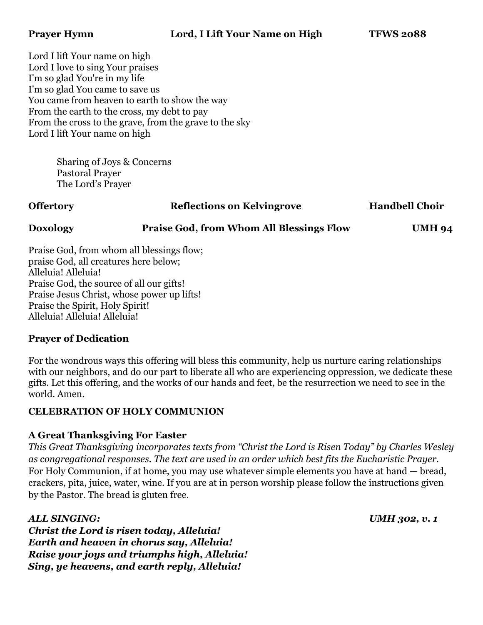Lord I lift Your name on high Lord I love to sing Your praises I'm so glad You're in my life I'm so glad You came to save us You came from heaven to earth to show the way From the earth to the cross, my debt to pay From the cross to the grave, from the grave to the sky Lord I lift Your name on high

> Sharing of Joys & Concerns Pastoral Prayer The Lord's Prayer

| <b>Offertory</b>                      | <b>Reflections on Kelvingrove</b>               | <b>Handbell Choir</b> |
|---------------------------------------|-------------------------------------------------|-----------------------|
| <b>Doxology</b>                       | <b>Praise God, from Whom All Blessings Flow</b> | <b>UMH 94</b>         |
| praise God, all creatures here below; | Praise God, from whom all blessings flow;       |                       |

praise God, all creatures here below; Alleluia! Alleluia! Praise God, the source of all our gifts! Praise Jesus Christ, whose power up lifts! Praise the Spirit, Holy Spirit! Alleluia! Alleluia! Alleluia!

# **Prayer of Dedication**

For the wondrous ways this offering will bless this community, help us nurture caring relationships with our neighbors, and do our part to liberate all who are experiencing oppression, we dedicate these gifts. Let this offering, and the works of our hands and feet, be the resurrection we need to see in the world. Amen.

# **CELEBRATION OF HOLY COMMUNION**

# **A Great Thanksgiving For Easter**

*This Great Thanksgiving incorporates texts from "Christ the Lord is Risen Today" by Charles Wesley as congregational responses. The text are used in an order which best fits the Eucharistic Prayer.*  For Holy Communion, if at home, you may use whatever simple elements you have at hand — bread, crackers, pita, juice, water, wine. If you are at in person worship please follow the instructions given by the Pastor. The bread is gluten free.

*ALL SINGING: UMH 302, v. 1 Christ the Lord is risen today, Alleluia! Earth and heaven in chorus say, Alleluia! Raise your joys and triumphs high, Alleluia! Sing, ye heavens, and earth reply, Alleluia!*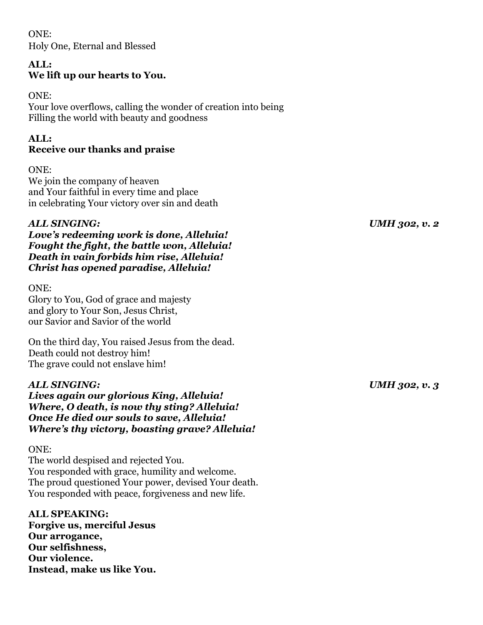ONE: Holy One, Eternal and Blessed

## **ALL: We lift up our hearts to You.**

ONE: Your love overflows, calling the wonder of creation into being Filling the world with beauty and goodness

# **ALL: Receive our thanks and praise**

ONE: We join the company of heaven and Your faithful in every time and place in celebrating Your victory over sin and death

# *ALL SINGING: UMH 302, v. 2*

*Love's redeeming work is done, Alleluia! Fought the fight, the battle won, Alleluia! Death in vain forbids him rise, Alleluia! Christ has opened paradise, Alleluia!*

#### ONE:

Glory to You, God of grace and majesty and glory to Your Son, Jesus Christ, our Savior and Savior of the world

On the third day, You raised Jesus from the dead. Death could not destroy him! The grave could not enslave him!

### *ALL SINGING: UMH 302, v. 3*

*Lives again our glorious King, Alleluia! Where, O death, is now thy sting? Alleluia! Once He died our souls to save, Alleluia! Where's thy victory, boasting grave? Alleluia!*

#### ONE:

The world despised and rejected You. You responded with grace, humility and welcome. The proud questioned Your power, devised Your death. You responded with peace, forgiveness and new life.

**ALL SPEAKING: Forgive us, merciful Jesus Our arrogance, Our selfishness, Our violence. Instead, make us like You.**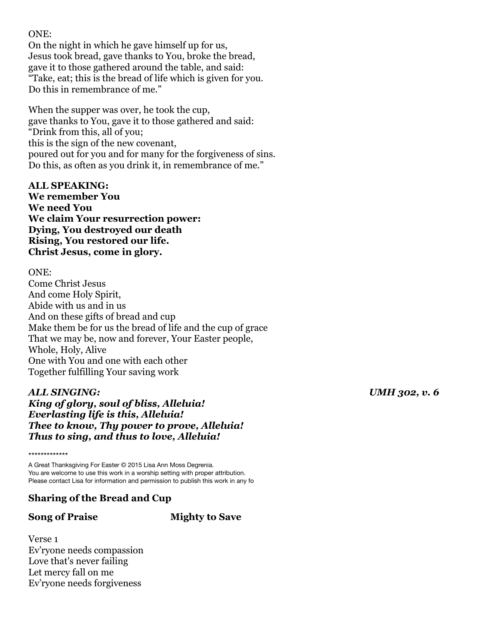#### ONE:

On the night in which he gave himself up for us, Jesus took bread, gave thanks to You, broke the bread, gave it to those gathered around the table, and said: "Take, eat; this is the bread of life which is given for you. Do this in remembrance of me."

When the supper was over, he took the cup, gave thanks to You, gave it to those gathered and said: "Drink from this, all of you; this is the sign of the new covenant, poured out for you and for many for the forgiveness of sins. Do this, as often as you drink it, in remembrance of me."

#### **ALL SPEAKING: We remember You We need You We claim Your resurrection power: Dying, You destroyed our death Rising, You restored our life. Christ Jesus, come in glory.**

ONE: Come Christ Jesus And come Holy Spirit, Abide with us and in us And on these gifts of bread and cup Make them be for us the bread of life and the cup of grace That we may be, now and forever, Your Easter people, Whole, Holy, Alive One with You and one with each other Together fulfilling Your saving work

#### *ALL SINGING: UMH 302, v. 6*

*King of glory, soul of bliss, Alleluia! Everlasting life is this, Alleluia! Thee to know, Thy power to prove, Alleluia! Thus to sing, and thus to love, Alleluia!*

\*\*\*\*\*\*\*\*\*\*\*\*\*

A Great Thanksgiving For Easter © 2015 Lisa Ann Moss Degrenia. You are welcome to use this work in a worship setting with proper attribution. Please contact Lisa for information and permission to publish this work in any fo

#### **Sharing of the Bread and Cup**

#### **Song of Praise Mighty to Save**

Verse 1 Ev'ryone needs compassion Love that's never failing Let mercy fall on me Ev'ryone needs forgiveness